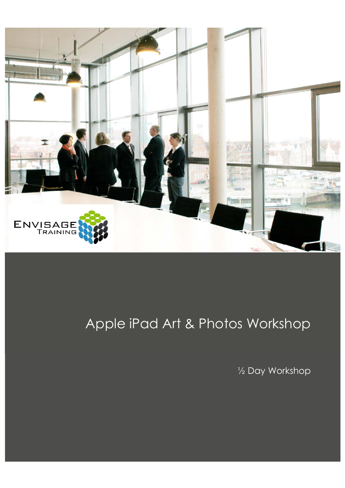

# Apple iPad Art & Photos Workshop

½ Day Workshop